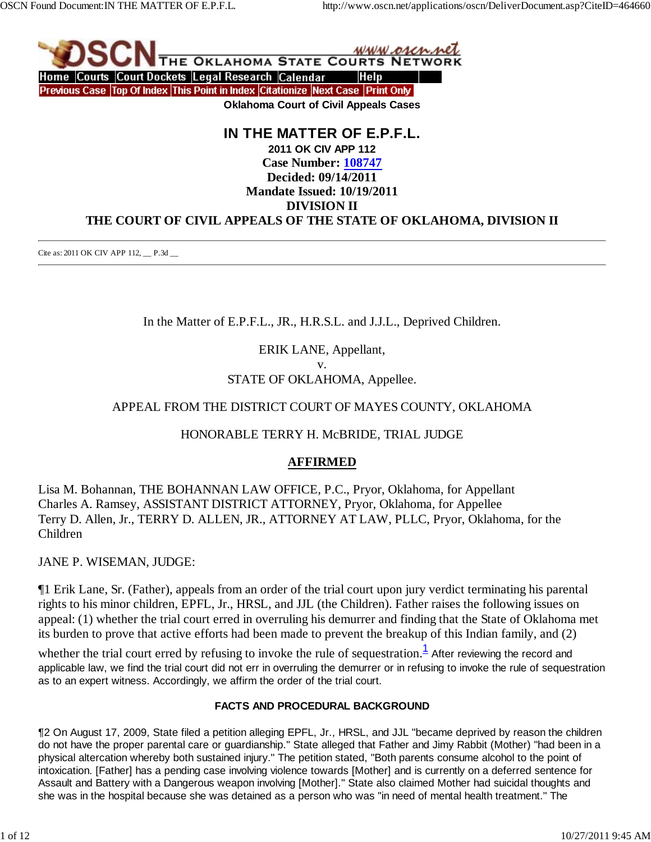

# **IN THE MATTER OF E.P.F.L. 2011 OK CIV APP 112 Case Number: 108747 Decided: 09/14/2011 Mandate Issued: 10/19/2011 DIVISION II THE COURT OF CIVIL APPEALS OF THE STATE OF OKLAHOMA, DIVISION II**

Cite as: 2011 OK CIV APP 112, \_\_ P.3d \_\_

In the Matter of E.P.F.L., JR., H.R.S.L. and J.J.L., Deprived Children.

ERIK LANE, Appellant, v.

STATE OF OKLAHOMA, Appellee.

# APPEAL FROM THE DISTRICT COURT OF MAYES COUNTY, OKLAHOMA

## HONORABLE TERRY H. McBRIDE, TRIAL JUDGE

# **AFFIRMED**

Lisa M. Bohannan, THE BOHANNAN LAW OFFICE, P.C., Pryor, Oklahoma, for Appellant Charles A. Ramsey, ASSISTANT DISTRICT ATTORNEY, Pryor, Oklahoma, for Appellee Terry D. Allen, Jr., TERRY D. ALLEN, JR., ATTORNEY AT LAW, PLLC, Pryor, Oklahoma, for the Children

JANE P. WISEMAN, JUDGE:

¶1 Erik Lane, Sr. (Father), appeals from an order of the trial court upon jury verdict terminating his parental rights to his minor children, EPFL, Jr., HRSL, and JJL (the Children). Father raises the following issues on appeal: (1) whether the trial court erred in overruling his demurrer and finding that the State of Oklahoma met its burden to prove that active efforts had been made to prevent the breakup of this Indian family, and (2)

whether the trial court erred by refusing to invoke the rule of sequestration.<sup>1</sup> After reviewing the record and applicable law, we find the trial court did not err in overruling the demurrer or in refusing to invoke the rule of sequestration as to an expert witness. Accordingly, we affirm the order of the trial court.

## **FACTS AND PROCEDURAL BACKGROUND**

¶2 On August 17, 2009, State filed a petition alleging EPFL, Jr., HRSL, and JJL "became deprived by reason the children do not have the proper parental care or guardianship." State alleged that Father and Jimy Rabbit (Mother) "had been in a physical altercation whereby both sustained injury." The petition stated, "Both parents consume alcohol to the point of intoxication. [Father] has a pending case involving violence towards [Mother] and is currently on a deferred sentence for Assault and Battery with a Dangerous weapon involving [Mother]." State also claimed Mother had suicidal thoughts and she was in the hospital because she was detained as a person who was "in need of mental health treatment." The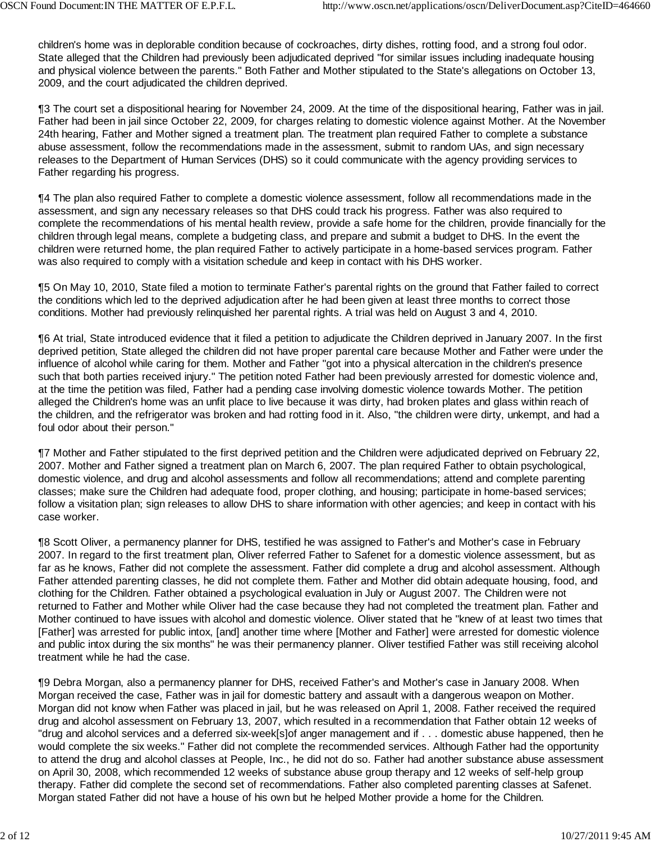children's home was in deplorable condition because of cockroaches, dirty dishes, rotting food, and a strong foul odor. State alleged that the Children had previously been adjudicated deprived "for similar issues including inadequate housing and physical violence between the parents." Both Father and Mother stipulated to the State's allegations on October 13, 2009, and the court adjudicated the children deprived.

¶3 The court set a dispositional hearing for November 24, 2009. At the time of the dispositional hearing, Father was in jail. Father had been in jail since October 22, 2009, for charges relating to domestic violence against Mother. At the November 24th hearing, Father and Mother signed a treatment plan. The treatment plan required Father to complete a substance abuse assessment, follow the recommendations made in the assessment, submit to random UAs, and sign necessary releases to the Department of Human Services (DHS) so it could communicate with the agency providing services to Father regarding his progress.

¶4 The plan also required Father to complete a domestic violence assessment, follow all recommendations made in the assessment, and sign any necessary releases so that DHS could track his progress. Father was also required to complete the recommendations of his mental health review, provide a safe home for the children, provide financially for the children through legal means, complete a budgeting class, and prepare and submit a budget to DHS. In the event the children were returned home, the plan required Father to actively participate in a home-based services program. Father was also required to comply with a visitation schedule and keep in contact with his DHS worker.

¶5 On May 10, 2010, State filed a motion to terminate Father's parental rights on the ground that Father failed to correct the conditions which led to the deprived adjudication after he had been given at least three months to correct those conditions. Mother had previously relinquished her parental rights. A trial was held on August 3 and 4, 2010.

¶6 At trial, State introduced evidence that it filed a petition to adjudicate the Children deprived in January 2007. In the first deprived petition, State alleged the children did not have proper parental care because Mother and Father were under the influence of alcohol while caring for them. Mother and Father "got into a physical altercation in the children's presence such that both parties received injury." The petition noted Father had been previously arrested for domestic violence and, at the time the petition was filed, Father had a pending case involving domestic violence towards Mother. The petition alleged the Children's home was an unfit place to live because it was dirty, had broken plates and glass within reach of the children, and the refrigerator was broken and had rotting food in it. Also, "the children were dirty, unkempt, and had a foul odor about their person."

¶7 Mother and Father stipulated to the first deprived petition and the Children were adjudicated deprived on February 22, 2007. Mother and Father signed a treatment plan on March 6, 2007. The plan required Father to obtain psychological, domestic violence, and drug and alcohol assessments and follow all recommendations; attend and complete parenting classes; make sure the Children had adequate food, proper clothing, and housing; participate in home-based services; follow a visitation plan; sign releases to allow DHS to share information with other agencies; and keep in contact with his case worker.

¶8 Scott Oliver, a permanency planner for DHS, testified he was assigned to Father's and Mother's case in February 2007. In regard to the first treatment plan, Oliver referred Father to Safenet for a domestic violence assessment, but as far as he knows, Father did not complete the assessment. Father did complete a drug and alcohol assessment. Although Father attended parenting classes, he did not complete them. Father and Mother did obtain adequate housing, food, and clothing for the Children. Father obtained a psychological evaluation in July or August 2007. The Children were not returned to Father and Mother while Oliver had the case because they had not completed the treatment plan. Father and Mother continued to have issues with alcohol and domestic violence. Oliver stated that he "knew of at least two times that [Father] was arrested for public intox, [and] another time where [Mother and Father] were arrested for domestic violence and public intox during the six months" he was their permanency planner. Oliver testified Father was still receiving alcohol treatment while he had the case.

¶9 Debra Morgan, also a permanency planner for DHS, received Father's and Mother's case in January 2008. When Morgan received the case, Father was in jail for domestic battery and assault with a dangerous weapon on Mother. Morgan did not know when Father was placed in jail, but he was released on April 1, 2008. Father received the required drug and alcohol assessment on February 13, 2007, which resulted in a recommendation that Father obtain 12 weeks of "drug and alcohol services and a deferred six-week[s]of anger management and if . . . domestic abuse happened, then he would complete the six weeks." Father did not complete the recommended services. Although Father had the opportunity to attend the drug and alcohol classes at People, Inc., he did not do so. Father had another substance abuse assessment on April 30, 2008, which recommended 12 weeks of substance abuse group therapy and 12 weeks of self-help group therapy. Father did complete the second set of recommendations. Father also completed parenting classes at Safenet. Morgan stated Father did not have a house of his own but he helped Mother provide a home for the Children.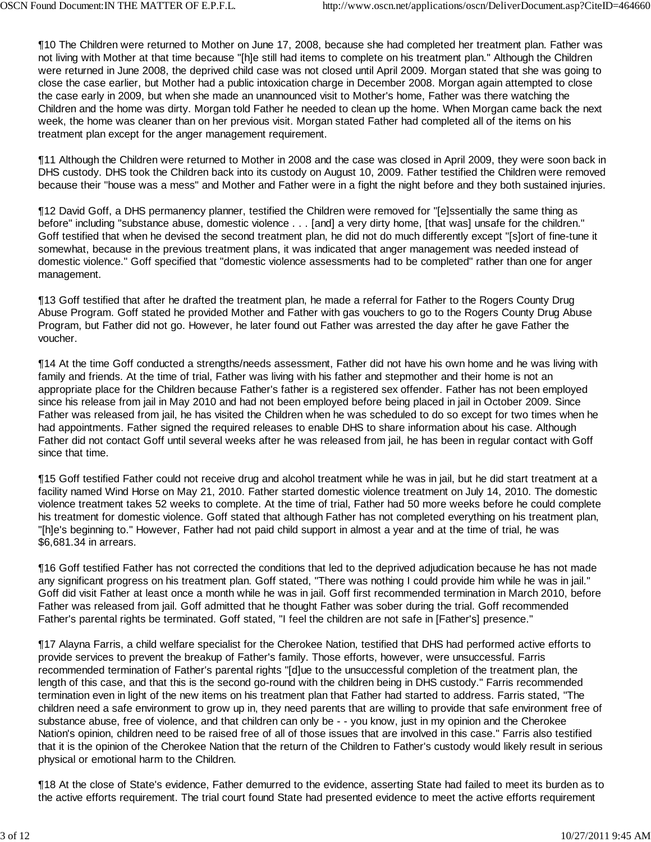¶10 The Children were returned to Mother on June 17, 2008, because she had completed her treatment plan. Father was not living with Mother at that time because "[h]e still had items to complete on his treatment plan." Although the Children were returned in June 2008, the deprived child case was not closed until April 2009. Morgan stated that she was going to close the case earlier, but Mother had a public intoxication charge in December 2008. Morgan again attempted to close the case early in 2009, but when she made an unannounced visit to Mother's home, Father was there watching the Children and the home was dirty. Morgan told Father he needed to clean up the home. When Morgan came back the next week, the home was cleaner than on her previous visit. Morgan stated Father had completed all of the items on his treatment plan except for the anger management requirement.

¶11 Although the Children were returned to Mother in 2008 and the case was closed in April 2009, they were soon back in DHS custody. DHS took the Children back into its custody on August 10, 2009. Father testified the Children were removed because their "house was a mess" and Mother and Father were in a fight the night before and they both sustained injuries.

¶12 David Goff, a DHS permanency planner, testified the Children were removed for "[e]ssentially the same thing as before" including "substance abuse, domestic violence . . . [and] a very dirty home, [that was] unsafe for the children." Goff testified that when he devised the second treatment plan, he did not do much differently except "[s]ort of fine-tune it somewhat, because in the previous treatment plans, it was indicated that anger management was needed instead of domestic violence." Goff specified that "domestic violence assessments had to be completed" rather than one for anger management.

¶13 Goff testified that after he drafted the treatment plan, he made a referral for Father to the Rogers County Drug Abuse Program. Goff stated he provided Mother and Father with gas vouchers to go to the Rogers County Drug Abuse Program, but Father did not go. However, he later found out Father was arrested the day after he gave Father the voucher.

¶14 At the time Goff conducted a strengths/needs assessment, Father did not have his own home and he was living with family and friends. At the time of trial, Father was living with his father and stepmother and their home is not an appropriate place for the Children because Father's father is a registered sex offender. Father has not been employed since his release from jail in May 2010 and had not been employed before being placed in jail in October 2009. Since Father was released from jail, he has visited the Children when he was scheduled to do so except for two times when he had appointments. Father signed the required releases to enable DHS to share information about his case. Although Father did not contact Goff until several weeks after he was released from jail, he has been in regular contact with Goff since that time.

¶15 Goff testified Father could not receive drug and alcohol treatment while he was in jail, but he did start treatment at a facility named Wind Horse on May 21, 2010. Father started domestic violence treatment on July 14, 2010. The domestic violence treatment takes 52 weeks to complete. At the time of trial, Father had 50 more weeks before he could complete his treatment for domestic violence. Goff stated that although Father has not completed everything on his treatment plan, "[h]e's beginning to." However, Father had not paid child support in almost a year and at the time of trial, he was \$6,681.34 in arrears.

¶16 Goff testified Father has not corrected the conditions that led to the deprived adjudication because he has not made any significant progress on his treatment plan. Goff stated, "There was nothing I could provide him while he was in jail." Goff did visit Father at least once a month while he was in jail. Goff first recommended termination in March 2010, before Father was released from jail. Goff admitted that he thought Father was sober during the trial. Goff recommended Father's parental rights be terminated. Goff stated, "I feel the children are not safe in [Father's] presence."

¶17 Alayna Farris, a child welfare specialist for the Cherokee Nation, testified that DHS had performed active efforts to provide services to prevent the breakup of Father's family. Those efforts, however, were unsuccessful. Farris recommended termination of Father's parental rights "[d]ue to the unsuccessful completion of the treatment plan, the length of this case, and that this is the second go-round with the children being in DHS custody." Farris recommended termination even in light of the new items on his treatment plan that Father had started to address. Farris stated, "The children need a safe environment to grow up in, they need parents that are willing to provide that safe environment free of substance abuse, free of violence, and that children can only be - - you know, just in my opinion and the Cherokee Nation's opinion, children need to be raised free of all of those issues that are involved in this case." Farris also testified that it is the opinion of the Cherokee Nation that the return of the Children to Father's custody would likely result in serious physical or emotional harm to the Children.

¶18 At the close of State's evidence, Father demurred to the evidence, asserting State had failed to meet its burden as to the active efforts requirement. The trial court found State had presented evidence to meet the active efforts requirement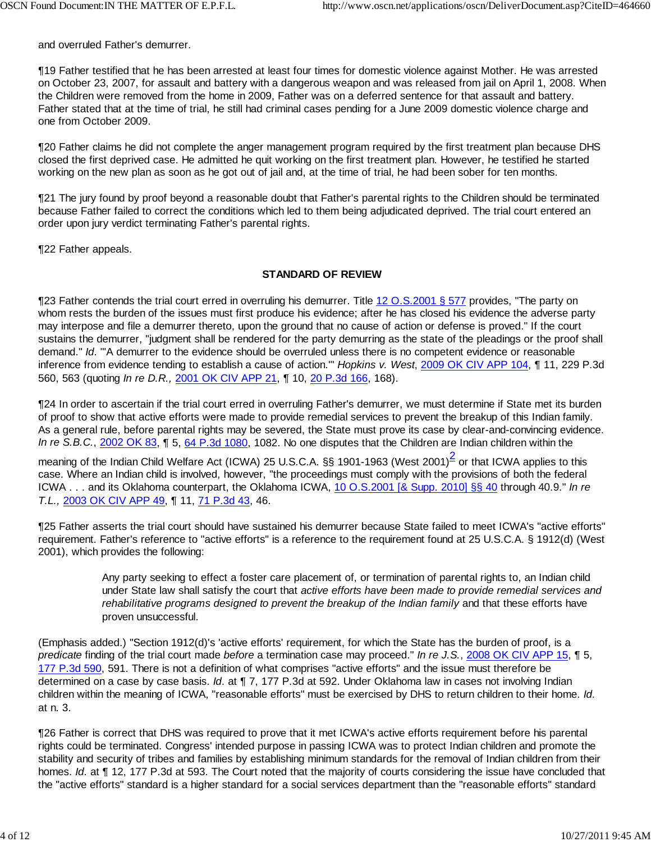and overruled Father's demurrer.

¶19 Father testified that he has been arrested at least four times for domestic violence against Mother. He was arrested on October 23, 2007, for assault and battery with a dangerous weapon and was released from jail on April 1, 2008. When the Children were removed from the home in 2009, Father was on a deferred sentence for that assault and battery. Father stated that at the time of trial, he still had criminal cases pending for a June 2009 domestic violence charge and one from October 2009.

¶20 Father claims he did not complete the anger management program required by the first treatment plan because DHS closed the first deprived case. He admitted he quit working on the first treatment plan. However, he testified he started working on the new plan as soon as he got out of jail and, at the time of trial, he had been sober for ten months.

¶21 The jury found by proof beyond a reasonable doubt that Father's parental rights to the Children should be terminated because Father failed to correct the conditions which led to them being adjudicated deprived. The trial court entered an order upon jury verdict terminating Father's parental rights.

¶22 Father appeals.

#### **STANDARD OF REVIEW**

¶23 Father contends the trial court erred in overruling his demurrer. Title 12 O.S.2001 § 577 provides, "The party on whom rests the burden of the issues must first produce his evidence; after he has closed his evidence the adverse party may interpose and file a demurrer thereto, upon the ground that no cause of action or defense is proved." If the court sustains the demurrer, "judgment shall be rendered for the party demurring as the state of the pleadings or the proof shall demand." *Id*. "'A demurrer to the evidence should be overruled unless there is no competent evidence or reasonable inference from evidence tending to establish a cause of action.'" *Hopkins v. West*, 2009 OK CIV APP 104, ¶ 11, 229 P.3d 560, 563 (quoting *In re D.R.,* 2001 OK CIV APP 21, ¶ 10, 20 P.3d 166, 168).

¶24 In order to ascertain if the trial court erred in overruling Father's demurrer, we must determine if State met its burden of proof to show that active efforts were made to provide remedial services to prevent the breakup of this Indian family. As a general rule, before parental rights may be severed, the State must prove its case by clear-and-convincing evidence. *In re S.B.C.*, 2002 OK 83, ¶ 5, 64 P.3d 1080, 1082. No one disputes that the Children are Indian children within the

meaning of the Indian Child Welfare Act (ICWA) 25 U.S.C.A. §§ 1901-1963 (West 2001)<sup>2</sup> or that ICWA applies to this case. Where an Indian child is involved, however, "the proceedings must comply with the provisions of both the federal ICWA . . . and its Oklahoma counterpart, the Oklahoma ICWA, 10 O.S.2001 [& Supp. 2010] §§ 40 through 40.9." *In re T.L.,* 2003 OK CIV APP 49, ¶ 11, 71 P.3d 43, 46.

¶25 Father asserts the trial court should have sustained his demurrer because State failed to meet ICWA's "active efforts" requirement. Father's reference to "active efforts" is a reference to the requirement found at 25 U.S.C.A. § 1912(d) (West 2001), which provides the following:

> Any party seeking to effect a foster care placement of, or termination of parental rights to, an Indian child under State law shall satisfy the court that *active efforts have been made to provide remedial services and* rehabilitative programs designed to prevent the breakup of the Indian family and that these efforts have proven unsuccessful.

(Emphasis added.) "Section 1912(d)'s 'active efforts' requirement, for which the State has the burden of proof, is a *predicate* finding of the trial court made *before* a termination case may proceed." *In re J.S.*, 2008 OK CIV APP 15, ¶ 5, 177 P.3d 590, 591. There is not a definition of what comprises "active efforts" and the issue must therefore be determined on a case by case basis. *Id*. at ¶ 7, 177 P.3d at 592. Under Oklahoma law in cases not involving Indian children within the meaning of ICWA, "reasonable efforts" must be exercised by DHS to return children to their home. *Id*. at n. 3.

¶26 Father is correct that DHS was required to prove that it met ICWA's active efforts requirement before his parental rights could be terminated. Congress' intended purpose in passing ICWA was to protect Indian children and promote the stability and security of tribes and families by establishing minimum standards for the removal of Indian children from their homes. *Id*. at ¶ 12, 177 P.3d at 593. The Court noted that the majority of courts considering the issue have concluded that the "active efforts" standard is a higher standard for a social services department than the "reasonable efforts" standard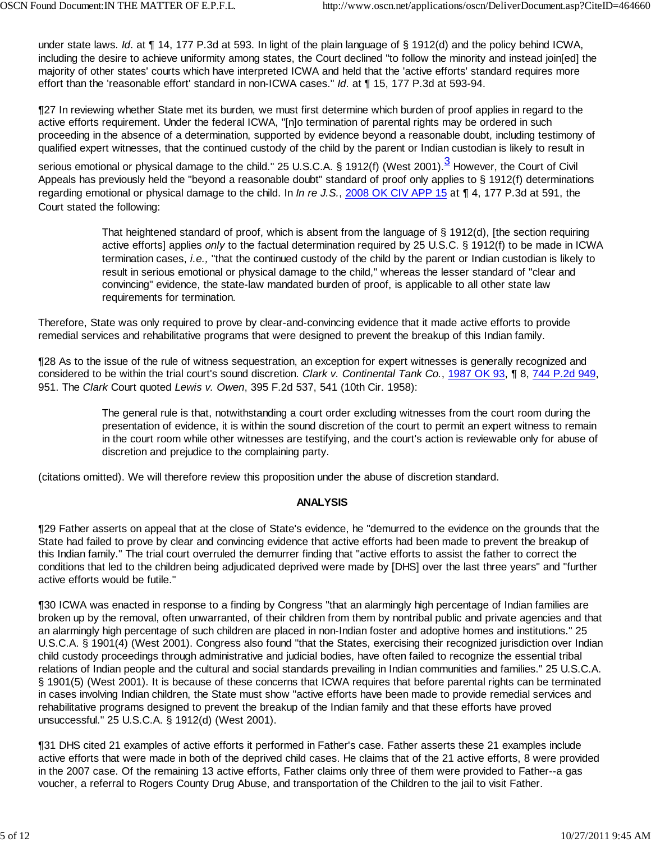under state laws. *Id*. at ¶ 14, 177 P.3d at 593. In light of the plain language of § 1912(d) and the policy behind ICWA, including the desire to achieve uniformity among states, the Court declined "to follow the minority and instead join[ed] the majority of other states' courts which have interpreted ICWA and held that the 'active efforts' standard requires more effort than the 'reasonable effort' standard in non-ICWA cases." *Id*. at ¶ 15, 177 P.3d at 593-94.

¶27 In reviewing whether State met its burden, we must first determine which burden of proof applies in regard to the active efforts requirement. Under the federal ICWA, "[n]o termination of parental rights may be ordered in such proceeding in the absence of a determination, supported by evidence beyond a reasonable doubt, including testimony of qualified expert witnesses, that the continued custody of the child by the parent or Indian custodian is likely to result in

serious emotional or physical damage to the child." 25 U.S.C.A. § 1912(f) (West 2001).<sup>3</sup> However, the Court of Civil Appeals has previously held the "beyond a reasonable doubt" standard of proof only applies to § 1912(f) determinations regarding emotional or physical damage to the child. In *In re J.S.*, 2008 OK CIV APP 15 at ¶ 4, 177 P.3d at 591, the Court stated the following:

> That heightened standard of proof, which is absent from the language of § 1912(d), [the section requiring active efforts] applies *only* to the factual determination required by 25 U.S.C. § 1912(f) to be made in ICWA termination cases, *i.e.,* "that the continued custody of the child by the parent or Indian custodian is likely to result in serious emotional or physical damage to the child," whereas the lesser standard of "clear and convincing" evidence, the state-law mandated burden of proof, is applicable to all other state law requirements for termination.

Therefore, State was only required to prove by clear-and-convincing evidence that it made active efforts to provide remedial services and rehabilitative programs that were designed to prevent the breakup of this Indian family.

¶28 As to the issue of the rule of witness sequestration, an exception for expert witnesses is generally recognized and considered to be within the trial court's sound discretion. *Clark v. Continental Tank Co.*, 1987 OK 93, ¶ 8, 744 P.2d 949, 951. The *Clark* Court quoted *Lewis v. Owen*, 395 F.2d 537, 541 (10th Cir. 1958):

> The general rule is that, notwithstanding a court order excluding witnesses from the court room during the presentation of evidence, it is within the sound discretion of the court to permit an expert witness to remain in the court room while other witnesses are testifying, and the court's action is reviewable only for abuse of discretion and prejudice to the complaining party.

(citations omitted). We will therefore review this proposition under the abuse of discretion standard.

#### **ANALYSIS**

¶29 Father asserts on appeal that at the close of State's evidence, he "demurred to the evidence on the grounds that the State had failed to prove by clear and convincing evidence that active efforts had been made to prevent the breakup of this Indian family." The trial court overruled the demurrer finding that "active efforts to assist the father to correct the conditions that led to the children being adjudicated deprived were made by [DHS] over the last three years" and "further active efforts would be futile."

¶30 ICWA was enacted in response to a finding by Congress "that an alarmingly high percentage of Indian families are broken up by the removal, often unwarranted, of their children from them by nontribal public and private agencies and that an alarmingly high percentage of such children are placed in non-Indian foster and adoptive homes and institutions." 25 U.S.C.A. § 1901(4) (West 2001). Congress also found "that the States, exercising their recognized jurisdiction over Indian child custody proceedings through administrative and judicial bodies, have often failed to recognize the essential tribal relations of Indian people and the cultural and social standards prevailing in Indian communities and families." 25 U.S.C.A. § 1901(5) (West 2001). It is because of these concerns that ICWA requires that before parental rights can be terminated in cases involving Indian children, the State must show "active efforts have been made to provide remedial services and rehabilitative programs designed to prevent the breakup of the Indian family and that these efforts have proved unsuccessful." 25 U.S.C.A. § 1912(d) (West 2001).

¶31 DHS cited 21 examples of active efforts it performed in Father's case. Father asserts these 21 examples include active efforts that were made in both of the deprived child cases. He claims that of the 21 active efforts, 8 were provided in the 2007 case. Of the remaining 13 active efforts, Father claims only three of them were provided to Father--a gas voucher, a referral to Rogers County Drug Abuse, and transportation of the Children to the jail to visit Father.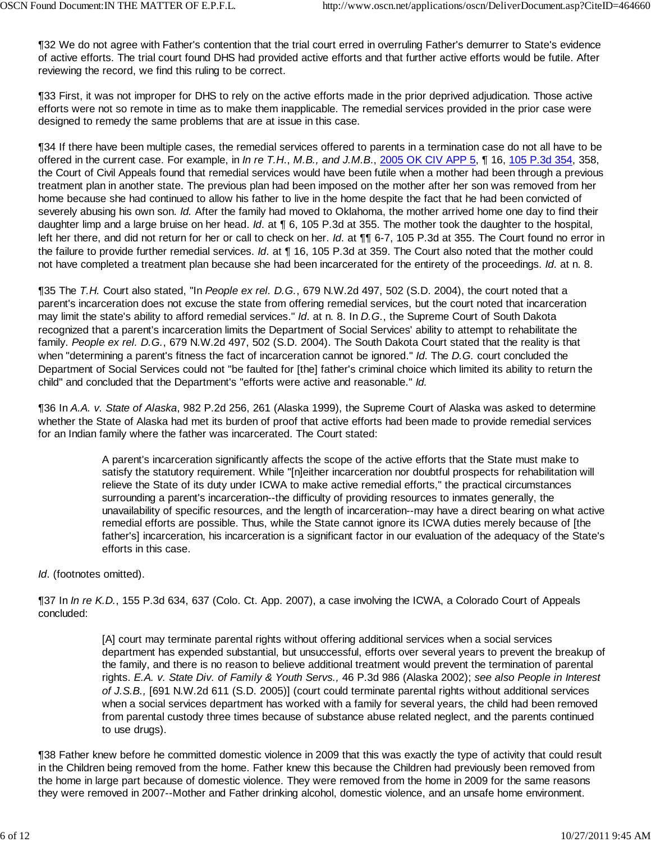¶32 We do not agree with Father's contention that the trial court erred in overruling Father's demurrer to State's evidence of active efforts. The trial court found DHS had provided active efforts and that further active efforts would be futile. After reviewing the record, we find this ruling to be correct.

¶33 First, it was not improper for DHS to rely on the active efforts made in the prior deprived adjudication. Those active efforts were not so remote in time as to make them inapplicable. The remedial services provided in the prior case were designed to remedy the same problems that are at issue in this case.

¶34 If there have been multiple cases, the remedial services offered to parents in a termination case do not all have to be offered in the current case. For example, in *In re T.H*., *M.B., and J.M.B*., 2005 OK CIV APP 5, ¶ 16, 105 P.3d 354, 358, the Court of Civil Appeals found that remedial services would have been futile when a mother had been through a previous treatment plan in another state. The previous plan had been imposed on the mother after her son was removed from her home because she had continued to allow his father to live in the home despite the fact that he had been convicted of severely abusing his own son. *Id.* After the family had moved to Oklahoma, the mother arrived home one day to find their daughter limp and a large bruise on her head. *Id*. at ¶ 6, 105 P.3d at 355. The mother took the daughter to the hospital, left her there, and did not return for her or call to check on her. *Id*. at ¶¶ 6-7, 105 P.3d at 355. The Court found no error in the failure to provide further remedial services. *Id*. at ¶ 16, 105 P.3d at 359. The Court also noted that the mother could not have completed a treatment plan because she had been incarcerated for the entirety of the proceedings. *Id*. at n. 8.

¶35 The *T.H.* Court also stated, "In *People ex rel. D.G.*, 679 N.W.2d 497, 502 (S.D. 2004), the court noted that a parent's incarceration does not excuse the state from offering remedial services, but the court noted that incarceration may limit the state's ability to afford remedial services." *Id*. at n. 8. In *D.G.*, the Supreme Court of South Dakota recognized that a parent's incarceration limits the Department of Social Services' ability to attempt to rehabilitate the family. *People ex rel. D.G.*, 679 N.W.2d 497, 502 (S.D. 2004). The South Dakota Court stated that the reality is that when "determining a parent's fitness the fact of incarceration cannot be ignored." *Id*. The *D.G.* court concluded the Department of Social Services could not "be faulted for [the] father's criminal choice which limited its ability to return the child" and concluded that the Department's "efforts were active and reasonable." *Id.*

¶36 In *A.A. v. State of Alaska*, 982 P.2d 256, 261 (Alaska 1999), the Supreme Court of Alaska was asked to determine whether the State of Alaska had met its burden of proof that active efforts had been made to provide remedial services for an Indian family where the father was incarcerated. The Court stated:

> A parent's incarceration significantly affects the scope of the active efforts that the State must make to satisfy the statutory requirement. While "[n]either incarceration nor doubtful prospects for rehabilitation will relieve the State of its duty under ICWA to make active remedial efforts," the practical circumstances surrounding a parent's incarceration--the difficulty of providing resources to inmates generally, the unavailability of specific resources, and the length of incarceration--may have a direct bearing on what active remedial efforts are possible. Thus, while the State cannot ignore its ICWA duties merely because of [the father's] incarceration, his incarceration is a significant factor in our evaluation of the adequacy of the State's efforts in this case.

*Id*. (footnotes omitted).

¶37 In *In re K.D.*, 155 P.3d 634, 637 (Colo. Ct. App. 2007), a case involving the ICWA, a Colorado Court of Appeals concluded:

> [A] court may terminate parental rights without offering additional services when a social services department has expended substantial, but unsuccessful, efforts over several years to prevent the breakup of the family, and there is no reason to believe additional treatment would prevent the termination of parental rights. *E.A. v. State Div. of Family & Youth Servs.,* 46 P.3d 986 (Alaska 2002); *see also People in Interest of J.S.B.,* [691 N.W.2d 611 (S.D. 2005)] (court could terminate parental rights without additional services when a social services department has worked with a family for several years, the child had been removed from parental custody three times because of substance abuse related neglect, and the parents continued to use drugs).

¶38 Father knew before he committed domestic violence in 2009 that this was exactly the type of activity that could result in the Children being removed from the home. Father knew this because the Children had previously been removed from the home in large part because of domestic violence. They were removed from the home in 2009 for the same reasons they were removed in 2007--Mother and Father drinking alcohol, domestic violence, and an unsafe home environment.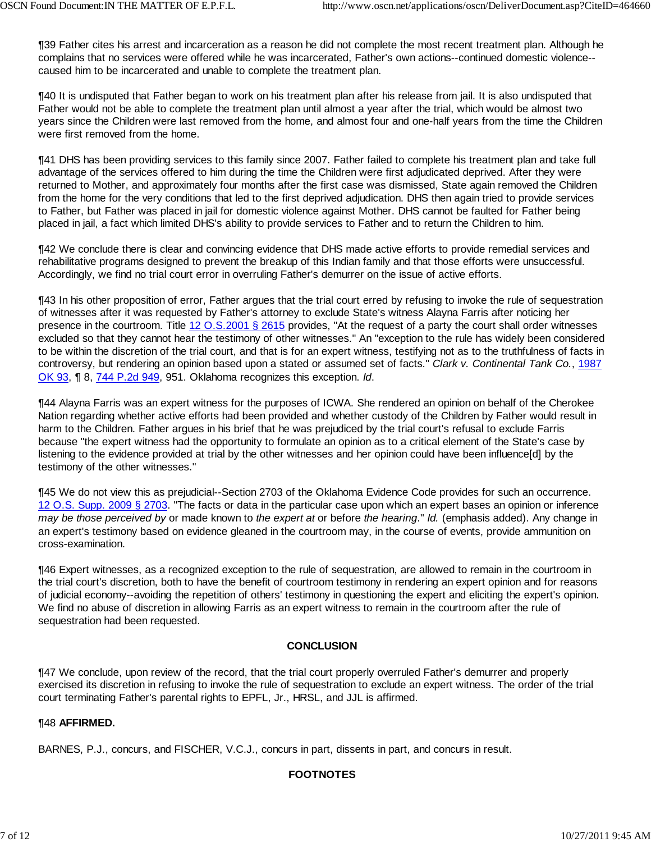¶39 Father cites his arrest and incarceration as a reason he did not complete the most recent treatment plan. Although he complains that no services were offered while he was incarcerated, Father's own actions--continued domestic violence- caused him to be incarcerated and unable to complete the treatment plan.

¶40 It is undisputed that Father began to work on his treatment plan after his release from jail. It is also undisputed that Father would not be able to complete the treatment plan until almost a year after the trial, which would be almost two years since the Children were last removed from the home, and almost four and one-half years from the time the Children were first removed from the home.

¶41 DHS has been providing services to this family since 2007. Father failed to complete his treatment plan and take full advantage of the services offered to him during the time the Children were first adjudicated deprived. After they were returned to Mother, and approximately four months after the first case was dismissed, State again removed the Children from the home for the very conditions that led to the first deprived adjudication. DHS then again tried to provide services to Father, but Father was placed in jail for domestic violence against Mother. DHS cannot be faulted for Father being placed in jail, a fact which limited DHS's ability to provide services to Father and to return the Children to him.

¶42 We conclude there is clear and convincing evidence that DHS made active efforts to provide remedial services and rehabilitative programs designed to prevent the breakup of this Indian family and that those efforts were unsuccessful. Accordingly, we find no trial court error in overruling Father's demurrer on the issue of active efforts.

¶43 In his other proposition of error, Father argues that the trial court erred by refusing to invoke the rule of sequestration of witnesses after it was requested by Father's attorney to exclude State's witness Alayna Farris after noticing her presence in the courtroom. Title 12 O.S.2001 § 2615 provides, "At the request of a party the court shall order witnesses excluded so that they cannot hear the testimony of other witnesses." An "exception to the rule has widely been considered to be within the discretion of the trial court, and that is for an expert witness, testifying not as to the truthfulness of facts in controversy, but rendering an opinion based upon a stated or assumed set of facts." *Clark v. Continental Tank Co.*, 1987 OK 93, ¶ 8, 744 P.2d 949, 951. Oklahoma recognizes this exception. *Id*.

¶44 Alayna Farris was an expert witness for the purposes of ICWA. She rendered an opinion on behalf of the Cherokee Nation regarding whether active efforts had been provided and whether custody of the Children by Father would result in harm to the Children. Father argues in his brief that he was prejudiced by the trial court's refusal to exclude Farris because "the expert witness had the opportunity to formulate an opinion as to a critical element of the State's case by listening to the evidence provided at trial by the other witnesses and her opinion could have been influence[d] by the testimony of the other witnesses."

¶45 We do not view this as prejudicial--Section 2703 of the Oklahoma Evidence Code provides for such an occurrence. 12 O.S. Supp. 2009 § 2703. "The facts or data in the particular case upon which an expert bases an opinion or inference *may be those perceived by* or made known to *the expert at* or before *the hearing*." *Id.* (emphasis added). Any change in an expert's testimony based on evidence gleaned in the courtroom may, in the course of events, provide ammunition on cross-examination.

¶46 Expert witnesses, as a recognized exception to the rule of sequestration, are allowed to remain in the courtroom in the trial court's discretion, both to have the benefit of courtroom testimony in rendering an expert opinion and for reasons of judicial economy--avoiding the repetition of others' testimony in questioning the expert and eliciting the expert's opinion. We find no abuse of discretion in allowing Farris as an expert witness to remain in the courtroom after the rule of sequestration had been requested.

## **CONCLUSION**

¶47 We conclude, upon review of the record, that the trial court properly overruled Father's demurrer and properly exercised its discretion in refusing to invoke the rule of sequestration to exclude an expert witness. The order of the trial court terminating Father's parental rights to EPFL, Jr., HRSL, and JJL is affirmed.

#### ¶48 **AFFIRMED.**

BARNES, P.J., concurs, and FISCHER, V.C.J., concurs in part, dissents in part, and concurs in result.

## **FOOTNOTES**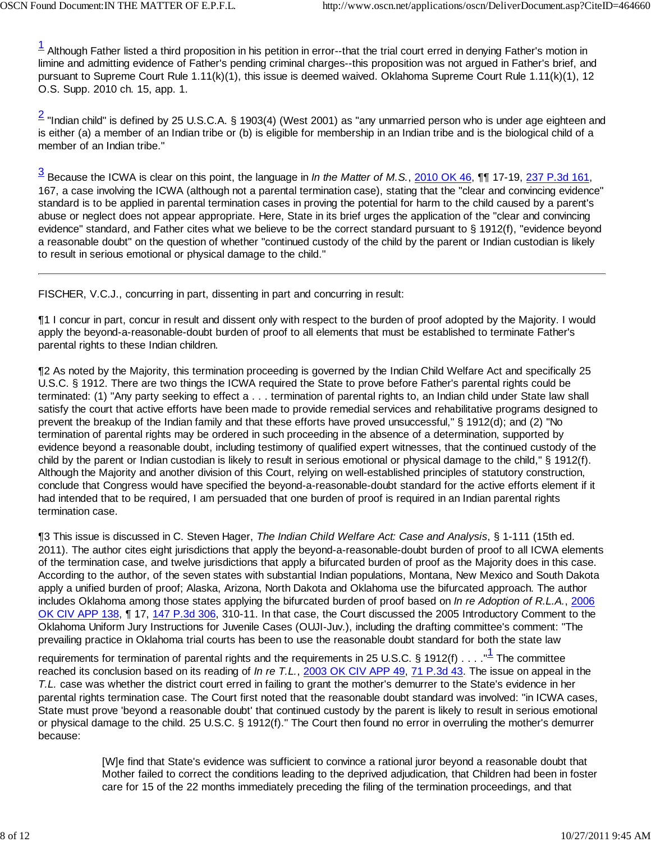$1/2$  Although Father listed a third proposition in his petition in error--that the trial court erred in denying Father's motion in limine and admitting evidence of Father's pending criminal charges--this proposition was not argued in Father's brief, and pursuant to Supreme Court Rule 1.11(k)(1), this issue is deemed waived. Oklahoma Supreme Court Rule 1.11(k)(1), 12 O.S. Supp. 2010 ch. 15, app. 1.

 $\frac{2}{3}$  "Indian child" is defined by 25 U.S.C.A. § 1903(4) (West 2001) as "any unmarried person who is under age eighteen and is either (a) a member of an Indian tribe or (b) is eligible for membership in an Indian tribe and is the biological child of a member of an Indian tribe."

3 Because the ICWA is clear on this point, the language in *In the Matter of M.S.*, 2010 OK 46, ¶¶ 17-19, 237 P.3d 161, 167, a case involving the ICWA (although not a parental termination case), stating that the "clear and convincing evidence" standard is to be applied in parental termination cases in proving the potential for harm to the child caused by a parent's abuse or neglect does not appear appropriate. Here, State in its brief urges the application of the "clear and convincing evidence" standard, and Father cites what we believe to be the correct standard pursuant to § 1912(f), "evidence beyond a reasonable doubt" on the question of whether "continued custody of the child by the parent or Indian custodian is likely to result in serious emotional or physical damage to the child."

FISCHER, V.C.J., concurring in part, dissenting in part and concurring in result:

¶1 I concur in part, concur in result and dissent only with respect to the burden of proof adopted by the Majority. I would apply the beyond-a-reasonable-doubt burden of proof to all elements that must be established to terminate Father's parental rights to these Indian children.

¶2 As noted by the Majority, this termination proceeding is governed by the Indian Child Welfare Act and specifically 25 U.S.C. § 1912. There are two things the ICWA required the State to prove before Father's parental rights could be terminated: (1) "Any party seeking to effect a . . . termination of parental rights to, an Indian child under State law shall satisfy the court that active efforts have been made to provide remedial services and rehabilitative programs designed to prevent the breakup of the Indian family and that these efforts have proved unsuccessful," § 1912(d); and (2) "No termination of parental rights may be ordered in such proceeding in the absence of a determination, supported by evidence beyond a reasonable doubt, including testimony of qualified expert witnesses, that the continued custody of the child by the parent or Indian custodian is likely to result in serious emotional or physical damage to the child," § 1912(f). Although the Majority and another division of this Court, relying on well-established principles of statutory construction, conclude that Congress would have specified the beyond-a-reasonable-doubt standard for the active efforts element if it had intended that to be required, I am persuaded that one burden of proof is required in an Indian parental rights termination case.

¶3 This issue is discussed in C. Steven Hager, *The Indian Child Welfare Act: Case and Analysis*, § 1-111 (15th ed. 2011). The author cites eight jurisdictions that apply the beyond-a-reasonable-doubt burden of proof to all ICWA elements of the termination case, and twelve jurisdictions that apply a bifurcated burden of proof as the Majority does in this case. According to the author, of the seven states with substantial Indian populations, Montana, New Mexico and South Dakota apply a unified burden of proof; Alaska, Arizona, North Dakota and Oklahoma use the bifurcated approach. The author includes Oklahoma among those states applying the bifurcated burden of proof based on *In re Adoption of R.L.A.*, 2006 OK CIV APP 138, ¶ 17, 147 P.3d 306, 310-11. In that case, the Court discussed the 2005 Introductory Comment to the Oklahoma Uniform Jury Instructions for Juvenile Cases (OUJI-Juv.), including the drafting committee's comment: "The prevailing practice in Oklahoma trial courts has been to use the reasonable doubt standard for both the state law

requirements for termination of parental rights and the requirements in 25 U.S.C. § 1912(f)  $\dots$ . " $^{\text{1}}$  The committee reached its conclusion based on its reading of *In re T.L.*, 2003 OK CIV APP 49, 71 P.3d 43. The issue on appeal in the *T.L.* case was whether the district court erred in failing to grant the mother's demurrer to the State's evidence in her parental rights termination case. The Court first noted that the reasonable doubt standard was involved: "in ICWA cases, State must prove 'beyond a reasonable doubt' that continued custody by the parent is likely to result in serious emotional or physical damage to the child. 25 U.S.C. § 1912(f)." The Court then found no error in overruling the mother's demurrer because:

> [W]e find that State's evidence was sufficient to convince a rational juror beyond a reasonable doubt that Mother failed to correct the conditions leading to the deprived adjudication, that Children had been in foster care for 15 of the 22 months immediately preceding the filing of the termination proceedings, and that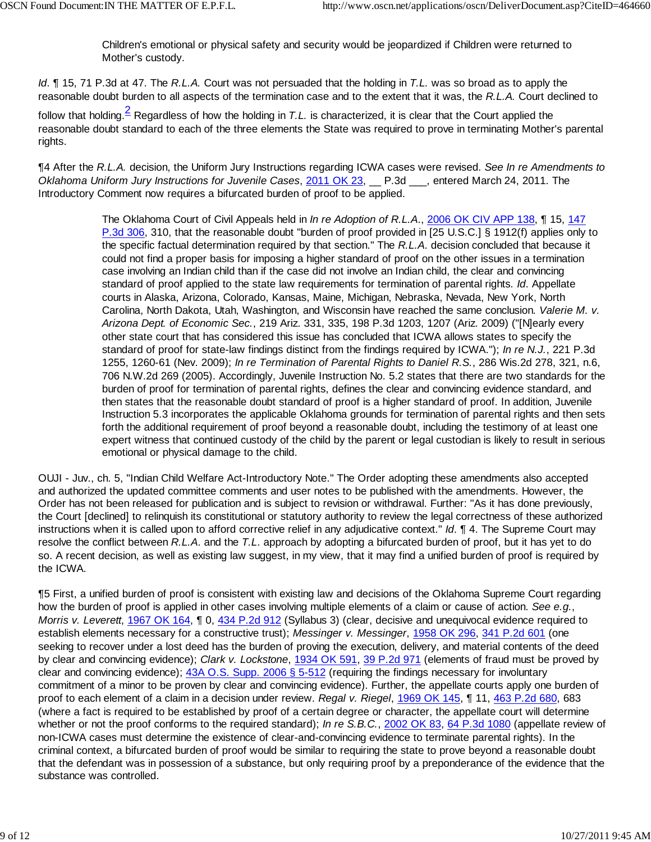Children's emotional or physical safety and security would be jeopardized if Children were returned to Mother's custody.

*Id*. ¶ 15, 71 P.3d at 47. The *R.L.A.* Court was not persuaded that the holding in *T.L.* was so broad as to apply the reasonable doubt burden to all aspects of the termination case and to the extent that it was, the *R.L.A.* Court declined to

follow that holding.<sup>2</sup> Regardless of how the holding in *T.L.* is characterized, it is clear that the Court applied the reasonable doubt standard to each of the three elements the State was required to prove in terminating Mother's parental rights.

¶4 After the *R.L.A.* decision, the Uniform Jury Instructions regarding ICWA cases were revised. *See In re Amendments to Oklahoma Uniform Jury Instructions for Juvenile Cases*, 2011 OK 23, \_\_ P.3d \_\_\_, entered March 24, 2011. The Introductory Comment now requires a bifurcated burden of proof to be applied.

> The Oklahoma Court of Civil Appeals held in *In re Adoption of R.L.A*., 2006 OK CIV APP 138, ¶ 15, 147 P.3d 306, 310, that the reasonable doubt "burden of proof provided in [25 U.S.C.] § 1912(f) applies only to the specific factual determination required by that section." The *R.L.A*. decision concluded that because it could not find a proper basis for imposing a higher standard of proof on the other issues in a termination case involving an Indian child than if the case did not involve an Indian child, the clear and convincing standard of proof applied to the state law requirements for termination of parental rights*. Id*. Appellate courts in Alaska, Arizona, Colorado, Kansas, Maine, Michigan, Nebraska, Nevada, New York, North Carolina, North Dakota, Utah, Washington, and Wisconsin have reached the same conclusion. *Valerie M. v. Arizona Dept. of Economic Sec.*, 219 Ariz. 331, 335, 198 P.3d 1203, 1207 (Ariz. 2009) ("[N]early every other state court that has considered this issue has concluded that ICWA allows states to specify the standard of proof for state-law findings distinct from the findings required by ICWA."); *In re N.J.*, 221 P.3d 1255, 1260-61 (Nev. 2009); *In re Termination of Parental Rights to Daniel R.S.*, 286 Wis.2d 278, 321, n.6, 706 N.W.2d 269 (2005). Accordingly, Juvenile Instruction No. 5.2 states that there are two standards for the burden of proof for termination of parental rights, defines the clear and convincing evidence standard, and then states that the reasonable doubt standard of proof is a higher standard of proof. In addition, Juvenile Instruction 5.3 incorporates the applicable Oklahoma grounds for termination of parental rights and then sets forth the additional requirement of proof beyond a reasonable doubt, including the testimony of at least one expert witness that continued custody of the child by the parent or legal custodian is likely to result in serious emotional or physical damage to the child.

OUJI - Juv., ch. 5, "Indian Child Welfare Act-Introductory Note." The Order adopting these amendments also accepted and authorized the updated committee comments and user notes to be published with the amendments. However, the Order has not been released for publication and is subject to revision or withdrawal. Further: "As it has done previously, the Court [declined] to relinquish its constitutional or statutory authority to review the legal correctness of these authorized instructions when it is called upon to afford corrective relief in any adjudicative context." *Id*. ¶ 4. The Supreme Court may resolve the conflict between *R.L.A*. and the *T.L*. approach by adopting a bifurcated burden of proof, but it has yet to do so. A recent decision, as well as existing law suggest, in my view, that it may find a unified burden of proof is required by the ICWA.

¶5 First, a unified burden of proof is consistent with existing law and decisions of the Oklahoma Supreme Court regarding how the burden of proof is applied in other cases involving multiple elements of a claim or cause of action. *See e.g.*, *Morris v. Leverett*, 1967 OK 164, ¶ 0, 434 P.2d 912 (Syllabus 3) (clear, decisive and unequivocal evidence required to establish elements necessary for a constructive trust); *Messinger v. Messinger*, 1958 OK 296, 341 P.2d 601 (one seeking to recover under a lost deed has the burden of proving the execution, delivery, and material contents of the deed by clear and convincing evidence); *Clark v. Lockstone*, 1934 OK 591, 39 P.2d 971 (elements of fraud must be proved by clear and convincing evidence); 43A O.S. Supp. 2006 § 5-512 (requiring the findings necessary for involuntary commitment of a minor to be proven by clear and convincing evidence). Further, the appellate courts apply one burden of proof to each element of a claim in a decision under review. *Regal v. Riegel*, 1969 OK 145, ¶ 11, 463 P.2d 680, 683 (where a fact is required to be established by proof of a certain degree or character, the appellate court will determine whether or not the proof conforms to the required standard); *In re S.B.C.*, 2002 OK 83, 64 P.3d 1080 (appellate review of non-ICWA cases must determine the existence of clear-and-convincing evidence to terminate parental rights). In the criminal context, a bifurcated burden of proof would be similar to requiring the state to prove beyond a reasonable doubt that the defendant was in possession of a substance, but only requiring proof by a preponderance of the evidence that the substance was controlled.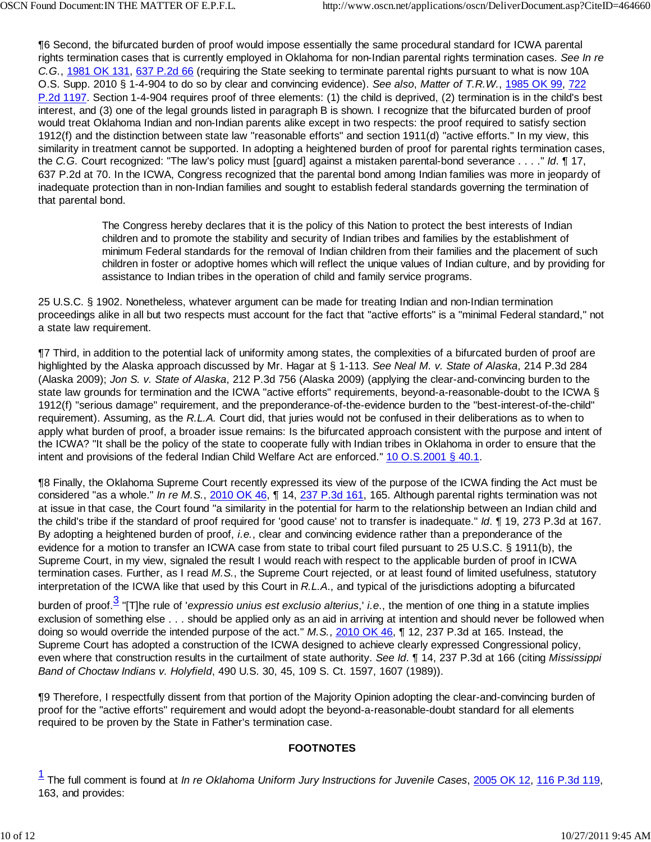¶6 Second, the bifurcated burden of proof would impose essentially the same procedural standard for ICWA parental rights termination cases that is currently employed in Oklahoma for non-Indian parental rights termination cases. *See In re C.G.*, 1981 OK 131, 637 P.2d 66 (requiring the State seeking to terminate parental rights pursuant to what is now 10A O.S. Supp. 2010 § 1-4-904 to do so by clear and convincing evidence). *See also*, *Matter of T.R.W.*, 1985 OK 99, 722 P.2d 1197. Section 1-4-904 requires proof of three elements: (1) the child is deprived, (2) termination is in the child's best interest, and (3) one of the legal grounds listed in paragraph B is shown. I recognize that the bifurcated burden of proof would treat Oklahoma Indian and non-Indian parents alike except in two respects: the proof required to satisfy section 1912(f) and the distinction between state law "reasonable efforts" and section 1911(d) "active efforts." In my view, this similarity in treatment cannot be supported. In adopting a heightened burden of proof for parental rights termination cases, the *C.G.* Court recognized: "The law's policy must [guard] against a mistaken parental-bond severance . . . ." *Id*. ¶ 17, 637 P.2d at 70. In the ICWA, Congress recognized that the parental bond among Indian families was more in jeopardy of inadequate protection than in non-Indian families and sought to establish federal standards governing the termination of that parental bond.

> The Congress hereby declares that it is the policy of this Nation to protect the best interests of Indian children and to promote the stability and security of Indian tribes and families by the establishment of minimum Federal standards for the removal of Indian children from their families and the placement of such children in foster or adoptive homes which will reflect the unique values of Indian culture, and by providing for assistance to Indian tribes in the operation of child and family service programs.

25 U.S.C. § 1902. Nonetheless, whatever argument can be made for treating Indian and non-Indian termination proceedings alike in all but two respects must account for the fact that "active efforts" is a "minimal Federal standard," not a state law requirement.

¶7 Third, in addition to the potential lack of uniformity among states, the complexities of a bifurcated burden of proof are highlighted by the Alaska approach discussed by Mr. Hagar at § 1-113. *See Neal M. v. State of Alaska*, 214 P.3d 284 (Alaska 2009); *Jon S. v. State of Alaska*, 212 P.3d 756 (Alaska 2009) (applying the clear-and-convincing burden to the state law grounds for termination and the ICWA "active efforts" requirements, beyond-a-reasonable-doubt to the ICWA § 1912(f) "serious damage" requirement, and the preponderance-of-the-evidence burden to the "best-interest-of-the-child" requirement). Assuming, as the *R.L.A.* Court did, that juries would not be confused in their deliberations as to when to apply what burden of proof, a broader issue remains: Is the bifurcated approach consistent with the purpose and intent of the ICWA? "It shall be the policy of the state to cooperate fully with Indian tribes in Oklahoma in order to ensure that the intent and provisions of the federal Indian Child Welfare Act are enforced." 10 O.S.2001 § 40.1.

¶8 Finally, the Oklahoma Supreme Court recently expressed its view of the purpose of the ICWA finding the Act must be considered "as a whole." *In re M.S.*, 2010 OK 46, ¶ 14, 237 P.3d 161, 165. Although parental rights termination was not at issue in that case, the Court found "a similarity in the potential for harm to the relationship between an Indian child and the child's tribe if the standard of proof required for 'good cause' not to transfer is inadequate." *Id*. ¶ 19, 273 P.3d at 167. By adopting a heightened burden of proof, *i.e.*, clear and convincing evidence rather than a preponderance of the evidence for a motion to transfer an ICWA case from state to tribal court filed pursuant to 25 U.S.C. § 1911(b), the Supreme Court, in my view, signaled the result I would reach with respect to the applicable burden of proof in ICWA termination cases. Further, as I read *M.S.*, the Supreme Court rejected, or at least found of limited usefulness, statutory interpretation of the ICWA like that used by this Court in *R.L.A*., and typical of the jurisdictions adopting a bifurcated

burden of proof.<sup>3</sup> "[T]he rule of '*expressio unius est exclusio alterius*,' *i.e*., the mention of one thing in a statute implies exclusion of something else . . . should be applied only as an aid in arriving at intention and should never be followed when doing so would override the intended purpose of the act." *M.S.*, 2010 OK 46, ¶ 12, 237 P.3d at 165. Instead, the Supreme Court has adopted a construction of the ICWA designed to achieve clearly expressed Congressional policy, even where that construction results in the curtailment of state authority. *See Id*. ¶ 14, 237 P.3d at 166 (citing *Mississippi Band of Choctaw Indians v. Holyfield*, 490 U.S. 30, 45, 109 S. Ct. 1597, 1607 (1989)).

¶9 Therefore, I respectfully dissent from that portion of the Majority Opinion adopting the clear-and-convincing burden of proof for the "active efforts" requirement and would adopt the beyond-a-reasonable-doubt standard for all elements required to be proven by the State in Father's termination case.

## **FOOTNOTES**

<sup>1</sup> The full comment is found at *In re Oklahoma Uniform Jury Instructions for Juvenile Cases*, 2005 OK 12, 116 P.3d 119, 163, and provides: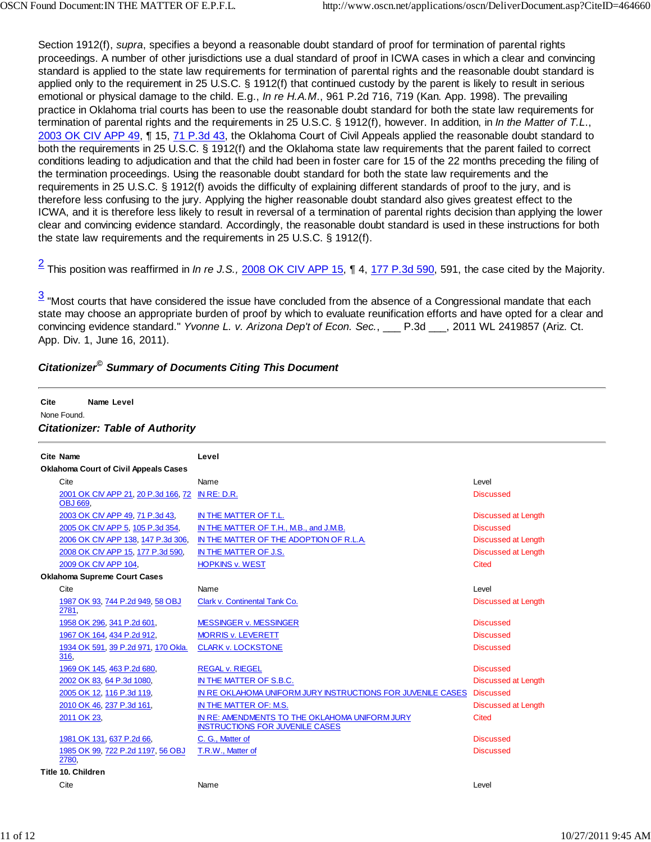Section 1912(f), *supra*, specifies a beyond a reasonable doubt standard of proof for termination of parental rights proceedings. A number of other jurisdictions use a dual standard of proof in ICWA cases in which a clear and convincing standard is applied to the state law requirements for termination of parental rights and the reasonable doubt standard is applied only to the requirement in 25 U.S.C. § 1912(f) that continued custody by the parent is likely to result in serious emotional or physical damage to the child. E.g., *In re H.A.M*., 961 P.2d 716, 719 (Kan. App. 1998). The prevailing practice in Oklahoma trial courts has been to use the reasonable doubt standard for both the state law requirements for termination of parental rights and the requirements in 25 U.S.C. § 1912(f), however. In addition, in *In the Matter of T.L*., 2003 OK CIV APP 49, ¶ 15, 71 P.3d 43, the Oklahoma Court of Civil Appeals applied the reasonable doubt standard to both the requirements in 25 U.S.C. § 1912(f) and the Oklahoma state law requirements that the parent failed to correct conditions leading to adjudication and that the child had been in foster care for 15 of the 22 months preceding the filing of the termination proceedings. Using the reasonable doubt standard for both the state law requirements and the requirements in 25 U.S.C. § 1912(f) avoids the difficulty of explaining different standards of proof to the jury, and is therefore less confusing to the jury. Applying the higher reasonable doubt standard also gives greatest effect to the ICWA, and it is therefore less likely to result in reversal of a termination of parental rights decision than applying the lower clear and convincing evidence standard. Accordingly, the reasonable doubt standard is used in these instructions for both the state law requirements and the requirements in 25 U.S.C. § 1912(f).

2 This position was reaffirmed in *In re J.S.,* 2008 OK CIV APP 15, ¶ 4, 177 P.3d 590, 591, the case cited by the Majority.

 $3$  "Most courts that have considered the issue have concluded from the absence of a Congressional mandate that each state may choose an appropriate burden of proof by which to evaluate reunification efforts and have opted for a clear and convincing evidence standard." *Yvonne L. v. Arizona Dep't of Econ. Sec.*, \_\_\_ P.3d \_\_\_, 2011 WL 2419857 (Ariz. Ct. App. Div. 1, June 16, 2011).

# *Citationizer© Summary of Documents Citing This Document*

#### **Cite Name Level** None Found. *Citationizer: Table of Authority* **Cite Name Level Oklahoma Court of Civil Appeals Cases** Cite **Contract Contract Contract Contract Contract Contract Contract Contract Contract Contract Contract Contract Contract Contract Contract Contract Contract Contract Contract Contract Contract Contract Contract Contract** 2001 OK CIV APP 21, 20 P.3d 166, 72 IN RE: D.R. Discussed OBJ 669, 2003 OK CIV APP 49, 71 P.3d 43, IN THE MATTER OF T.L. Discussed at Length Discussed at Length 2005 OK CIV APP 5, 105 P.3d 354, IN THE MATTER OF T.H., M.B., and J.M.B. Discussed 2006 OK CIV APP 138, 147 P.3d 306, IN THE MATTER OF THE ADOPTION OF R.L.A. Discussed at Length 2008 OK CIV APP 15, 177 P.3d 590, IN THE MATTER OF J.S. Discussed at Length 2009 OK CIV APP 104, The HOPKINS v. WEST THE CITED ASSESSED ASSESSED. The Cited Cited AT A CITED AND THE CITED AT A CITED AT A CITED AT A CITED AT A CITED AT A CITED AT A CITED AT A CITED AT A CITED AT A CITED AT A CITED A **Oklahoma Supreme Court Cases** Cite Name Level 1987 OK 93, 744 P.2d 949, 58 OBJ 2781, Clark v. Continental Tank Co. Discussed at Length 1958 OK 296, 341 P.2d 601, **MESSINGER v. MESSINGER** Discussed 1967 OK 164, 434 P.2d 912, MORRIS v. LEVERETT Discussed and the control of the Discussed 1934 OK 591, 39 P.2d 971, 170 Okla. 316, CLARK v. LOCKSTONE Discussed 1969 OK 145, 463 P.2d 680, REGAL v. RIEGEL REGAL V. RIEGEL DISCUSSED BOSCUSSED DISCUSSED 2002 OK 83, 64 P.3d 1080, IN THE MATTER OF S.B.C. Discussed at Length Discussed at Length 2005 OK 12, 116 P.3d 119, IN RE OKLAHOMA UNIFORM JURY INSTRUCTIONS FOR JUVENILE CASES Discussed 2010 OK 46, 237 P.3d 161, IN THE MATTER OF: M.S. Discussed at Length 2011 OK 23, IN RE: AMENDMENTS TO THE OKLAHOMA UNIFORM JURY INSTRUCTIONS FOR JUVENILE CASES Cited 1981 OK 131, 637 P.2d 66, C. G., Matter of Discussed 1985 OK 99, 722 P.2d 1197, 56 OBJ 2780, T.R.W., Matter of Discussed **Title 10. Children** Cite **Contract Contract Contract Contract Contract Contract Contract Contract Contract Contract Contract Contract Contract Contract Contract Contract Contract Contract Contract Contract Contract Contract Contract Contract**